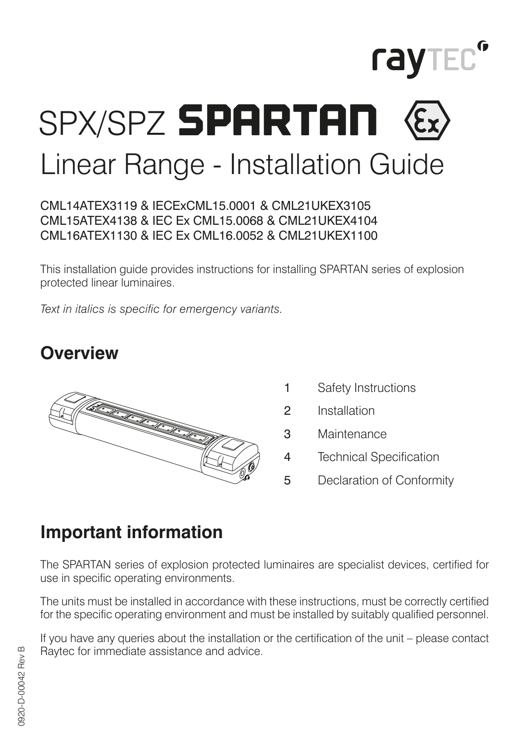

## SPX/SPZ SPARTAN Linear Range - Installation Guide

## CML14ATEX3119 & IECExCML15.0001 & CML21UKEX3105 CML15ATEX4138 & IEC Ex CML15.0068 & CML21UKEX4104 CML16ATEX1130 & IEC Ex CML16.0052 & CML21UKEX1100

This installation guide provides instructions for installing SPARTAN series of explosion protected linear luminaires.

*Text in italics is specific for emergency variants.*

## **Overview**



- 1 Safety Instructions
- 2 Installation
- 3 Maintenance
- 4 Technical Specification
- 5 Declaration of Conformity

## **Important information**

The SPARTAN series of explosion protected luminaires are specialist devices, certified for use in specific operating environments.

The units must be installed in accordance with these instructions, must be correctly certified for the specific operating environment and must be installed by suitably qualified personnel.

If you have any queries about the installation or the certification of the unit – please contact Raytec for immediate assistance and advice.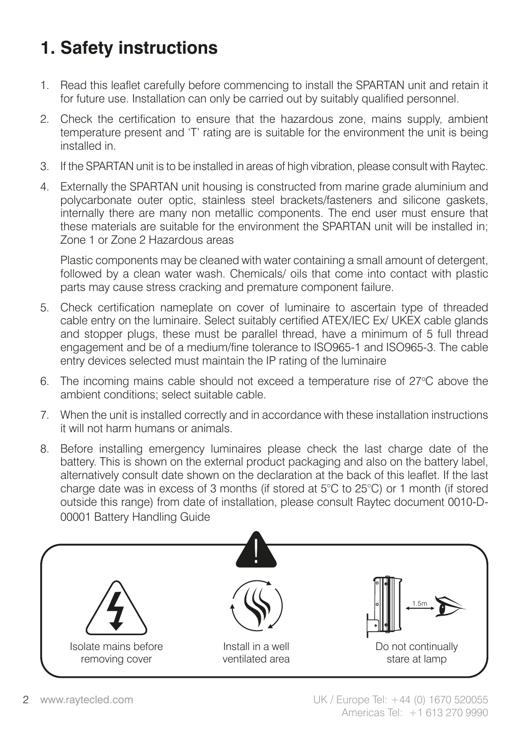## **1. Safety instructions**

- 1. Read this leaflet carefully before commencing to install the SPARTAN unit and retain it for future use. Installation can only be carried out by suitably qualified personnel.
- 2. Check the certification to ensure that the hazardous zone, mains supply, ambient temperature present and 'T' rating are is suitable for the environment the unit is being installed in.
- 3. If the SPARTAN unit is to be installed in areas of high vibration, please consult with Raytec.
- 4. Externally the SPARTAN unit housing is constructed from marine grade aluminium and polycarbonate outer optic, stainless steel brackets/fasteners and silicone gaskets, internally there are many non metallic components. The end user must ensure that these materials are suitable for the environment the SPARTAN unit will be installed in; Zone 1 or Zone 2 Hazardous areas

Plastic components may be cleaned with water containing a small amount of detergent, followed by a clean water wash. Chemicals/ oils that come into contact with plastic parts may cause stress cracking and premature component failure.

- 5. Check certification nameplate on cover of luminaire to ascertain type of threaded cable entry on the luminaire. Select suitably certified ATEX/IEC Ex/ UKEX cable glands and stopper plugs, these must be parallel thread, have a minimum of 5 full thread engagement and be of a medium/fine tolerance to ISO965-1 and ISO965-3. The cable entry devices selected must maintain the IP rating of the luminaire
- 6. The incoming mains cable should not exceed a temperature rise of  $27^{\circ}$ C above the ambient conditions; select suitable cable.
- 7. When the unit is installed correctly and in accordance with these installation instructions it will not harm humans or animals.
- 8. Before installing emergency luminaires please check the last charge date of the battery. This is shown on the external product packaging and also on the battery label, alternatively consult date shown on the declaration at the back of this leaflet. If the last charge date was in excess of 3 months (if stored at 5°C to 25°C) or 1 month (if stored outside this range) from date of installation, please consult Raytec document 0010-D-00001 Battery Handling Guide

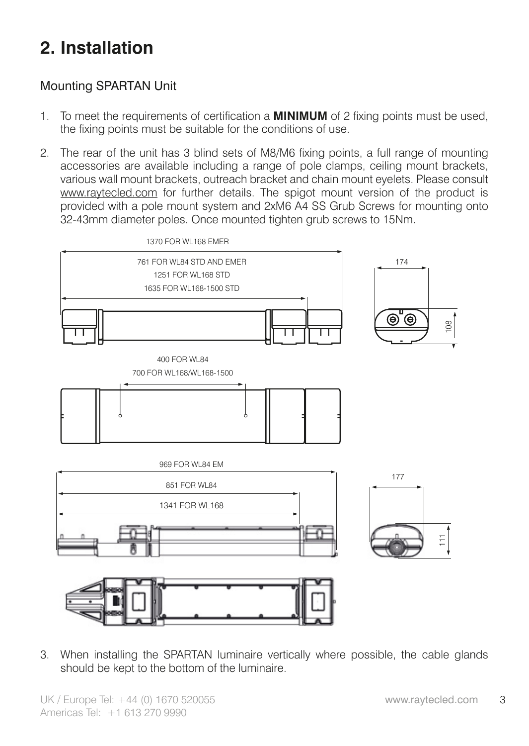## **2. Installation**

## Mounting SPARTAN Unit

- 1. To meet the requirements of certification a **MINIMUM** of 2 fixing points must be used, the fixing points must be suitable for the conditions of use.
- 2. The rear of the unit has 3 blind sets of M8/M6 fixing points, a full range of mounting accessories are available including a range of pole clamps, ceiling mount brackets, various wall mount brackets, outreach bracket and chain mount eyelets. Please consult www.raytecled.com for further details. The spigot mount version of the product is provided with a pole mount system and 2xM6 A4 SS Grub Screws for mounting onto 32-43mm diameter poles. Once mounted tighten grub screws to 15Nm.



3. When installing the SPARTAN luminaire vertically where possible, the cable glands should be kept to the bottom of the luminaire.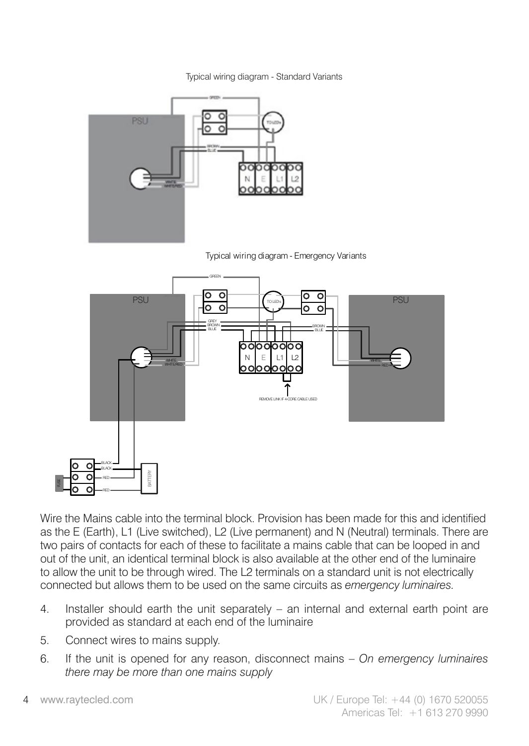Typical wiring diagram - Standard Variants



Typical wiring diagram - Emergency Variants



Wire the Mains cable into the terminal block. Provision has been made for this and identified as the E (Earth), L1 (Live switched), L2 (Live permanent) and N (Neutral) terminals. There are two pairs of contacts for each of these to facilitate a mains cable that can be looped in and out of the unit, an identical terminal block is also available at the other end of the luminaire to allow the unit to be through wired. The L2 terminals on a standard unit is not electrically connected but allows them to be used on the same circuits as *emergency luminaires.*

- 4. Installer should earth the unit separately an internal and external earth point are provided as standard at each end of the luminaire
- 5. Connect wires to mains supply.
- 6. If the unit is opened for any reason, disconnect mains *On emergency luminaires there may be more than one mains supply*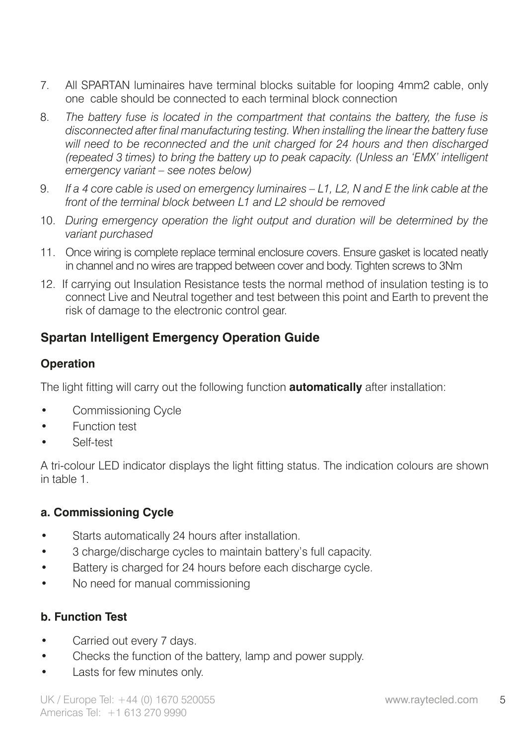- 7. All SPARTAN luminaires have terminal blocks suitable for looping 4mm2 cable, only one cable should be connected to each terminal block connection
- 8. *The battery fuse is located in the compartment that contains the battery, the fuse is disconnected after final manufacturing testing. When installing the linear the battery fuse*  will need to be reconnected and the unit charged for 24 hours and then discharged *(repeated 3 times) to bring the battery up to peak capacity. (Unless an 'EMX' intelligent emergency variant – see notes below)*
- 9. *If a 4 core cable is used on emergency luminaires L1, L2, N and E the link cable at the front of the terminal block between L1 and L2 should be removed*
- 10. *During emergency operation the light output and duration will be determined by the variant purchased*
- 11. Once wiring is complete replace terminal enclosure covers. Ensure gasket is located neatly in channel and no wires are trapped between cover and body. Tighten screws to 3Nm
- 12. If carrying out Insulation Resistance tests the normal method of insulation testing is to connect Live and Neutral together and test between this point and Earth to prevent the risk of damage to the electronic control gear.

## **Spartan Intelligent Emergency Operation Guide**

## **Operation**

The light fitting will carry out the following function **automatically** after installation:

- Commissioning Cycle
- Function test
- Self-test

A tri-colour LED indicator displays the light fitting status. The indication colours are shown in table 1.

## **a. Commissioning Cycle**

- Starts automatically 24 hours after installation.
- 3 charge/discharge cycles to maintain battery's full capacity.
- Battery is charged for 24 hours before each discharge cycle.
- No need for manual commissioning

## **b. Function Test**

- Carried out every 7 days.
- Checks the function of the battery, lamp and power supply.
- Lasts for few minutes only.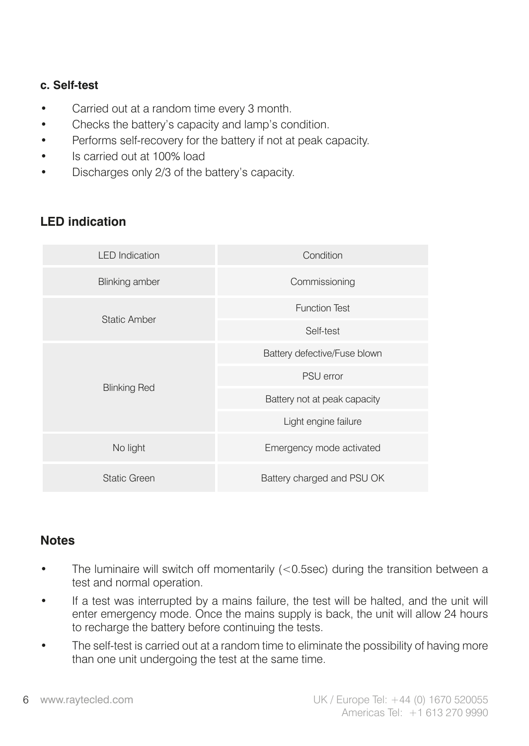#### **c. Self-test**

- Carried out at a random time every 3 month.
- Checks the battery's capacity and lamp's condition.
- Performs self-recovery for the battery if not at peak capacity.
- Is carried out at 100% load
- Discharges only 2/3 of the battery's capacity.

## **LED indication**

| <b>LED</b> Indication | Condition                    |  |
|-----------------------|------------------------------|--|
| <b>Blinking amber</b> | Commissioning                |  |
| Static Amber          | <b>Function Test</b>         |  |
|                       | Self-test                    |  |
| <b>Blinking Red</b>   | Battery defective/Fuse blown |  |
|                       | PSU error                    |  |
|                       | Battery not at peak capacity |  |
|                       | Light engine failure         |  |
| No light              | Emergency mode activated     |  |
| Static Green          | Battery charged and PSU OK   |  |

## **Notes**

- The luminaire will switch off momentarily  $(<$  0.5sec) during the transition between a test and normal operation.
- If a test was interrupted by a mains failure, the test will be halted, and the unit will enter emergency mode. Once the mains supply is back, the unit will allow 24 hours to recharge the battery before continuing the tests.
- The self-test is carried out at a random time to eliminate the possibility of having more than one unit undergoing the test at the same time.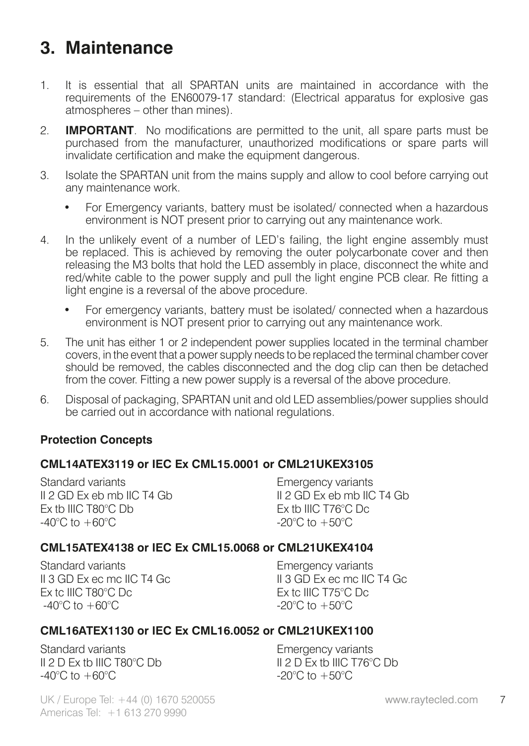## **3. Maintenance**

- 1. It is essential that all SPARTAN units are maintained in accordance with the requirements of the EN60079-17 standard: (Electrical apparatus for explosive gas atmospheres – other than mines).
- 2. **IMPORTANT**. No modifications are permitted to the unit, all spare parts must be purchased from the manufacturer, unauthorized modifications or spare parts will invalidate certification and make the equipment dangerous.
- 3. Isolate the SPARTAN unit from the mains supply and allow to cool before carrying out any maintenance work.
	- For Emergency variants, battery must be isolated/ connected when a hazardous environment is NOT present prior to carrying out any maintenance work.
- 4. In the unlikely event of a number of LED's failing, the light engine assembly must be replaced. This is achieved by removing the outer polycarbonate cover and then releasing the M3 bolts that hold the LED assembly in place, disconnect the white and red/white cable to the power supply and pull the light engine PCB clear. Re fitting a light engine is a reversal of the above procedure.
	- For emergency variants, battery must be isolated/ connected when a hazardous environment is NOT present prior to carrying out any maintenance work.
- 5. The unit has either 1 or 2 independent power supplies located in the terminal chamber covers, in the event that a power supply needs to be replaced the terminal chamber cover should be removed, the cables disconnected and the dog clip can then be detached from the cover. Fitting a new power supply is a reversal of the above procedure.
- 6. Disposal of packaging, SPARTAN unit and old LED assemblies/power supplies should be carried out in accordance with national regulations.

#### **Protection Concepts**

#### **CML14ATEX3119 or IEC Ex CML15.0001 or CML21UKEX3105**

Standard variants II 2 GD Ex eb mb IIC T4 Gb Ex tb IIIC T80°C Db  $-40^{\circ}$ C to  $+60^{\circ}$ C

Emergency variants II 2 GD Ex eb mb IIC T4 Gb Ex tb IIIC T76°C Dc -20°C to +50°C

#### **CML15ATEX4138 or IEC Ex CML15.0068 or CML21UKEX4104**

Standard variants II 3 GD Ex ec mc IIC T4 Gc Ex tc IIIC T80°C Dc  $-40^{\circ}$ C to  $+60^{\circ}$ C

Emergency variants II 3 GD Ex ec mc IIC T4 Gc Ex tc IIIC T75°C Dc  $-20^{\circ}$ C to  $+50^{\circ}$ C

### **CML16ATEX1130 or IEC Ex CML16.0052 or CML21UKEX1100**

Standard variants II 2 D Ex tb IIIC T80°C Db  $-40^{\circ}$ C to  $+60^{\circ}$ C

Emergency variants II 2 D Ex tb IIIC T76°C Db  $-20^{\circ}$ C to  $+50^{\circ}$ C

UK / Europe Tel: +44 (0) 1670 520055 www.raytecled.com 7 Americas Tel: +1 613 270 9990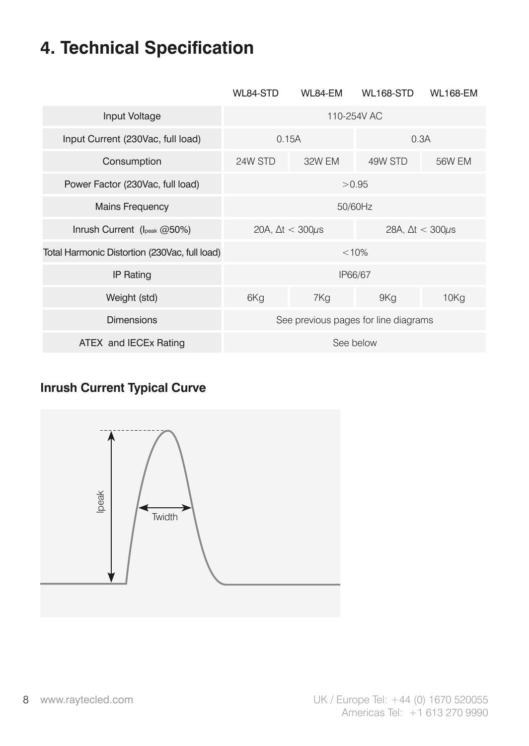## **4. Technical Specification**

|                                               | WL84-STD                                                   | WL84-EM | <b>WL168-STD</b>                     | <b>WL168-EM</b> |
|-----------------------------------------------|------------------------------------------------------------|---------|--------------------------------------|-----------------|
| Input Voltage                                 | 110-254V AC                                                |         |                                      |                 |
| Input Current (230Vac, full load)             | 0.15A                                                      |         | 0.3A                                 |                 |
| Consumption                                   | 24W STD                                                    | 32W FM  | 49W STD                              | 56W EM          |
| Power Factor (230Vac, full load)              | > 0.95                                                     |         |                                      |                 |
| <b>Mains Frequency</b>                        | 50/60Hz                                                    |         |                                      |                 |
| Inrush Current (Ipeak @50%)                   | 20A, $\Delta t < 300 \mu s$<br>28A, $\Delta t < 300 \mu s$ |         |                                      |                 |
| Total Harmonic Distortion (230Vac, full load) |                                                            |         | < 10%                                |                 |
| <b>IP Rating</b>                              |                                                            |         | IP66/67                              |                 |
| Weight (std)                                  | 6Kg                                                        | 7Kg     | 9Kg                                  | 10Kg            |
| <b>Dimensions</b>                             |                                                            |         | See previous pages for line diagrams |                 |
| ATEX and IECEx Rating                         |                                                            |         | See below                            |                 |

## **Inrush Current Typical Curve**

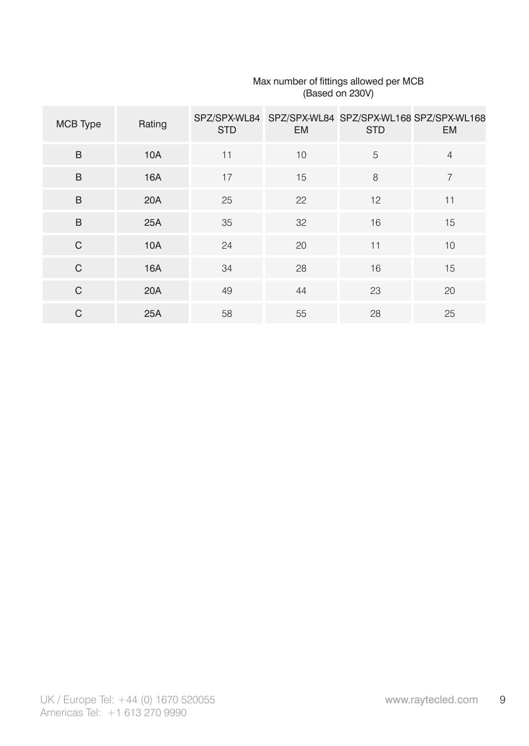| MCB Type | Rating     | <b>STD</b> | <b>EM</b> | <b>STD</b> | SPZ/SPX-WL84 SPZ/SPX-WL84 SPZ/SPX-WL168 SPZ/SPX-WL168<br><b>EM</b> |
|----------|------------|------------|-----------|------------|--------------------------------------------------------------------|
| B        | <b>10A</b> | 11         | 10        | 5          | $\overline{4}$                                                     |
| B        | 16A        | 17         | 15        | 8          | $\overline{7}$                                                     |
| B        | 20A        | 25         | 22        | 12         | 11                                                                 |
| B        | 25A        | 35         | 32        | 16         | 15                                                                 |
| C        | <b>10A</b> | 24         | 20        | 11         | 10                                                                 |
| C        | <b>16A</b> | 34         | 28        | 16         | 15                                                                 |
| C        | 20A        | 49         | 44        | 23         | 20                                                                 |
| C        | 25A        | 58         | 55        | 28         | 25                                                                 |

## Max number of fittings allowed per MCB (Based on 230V)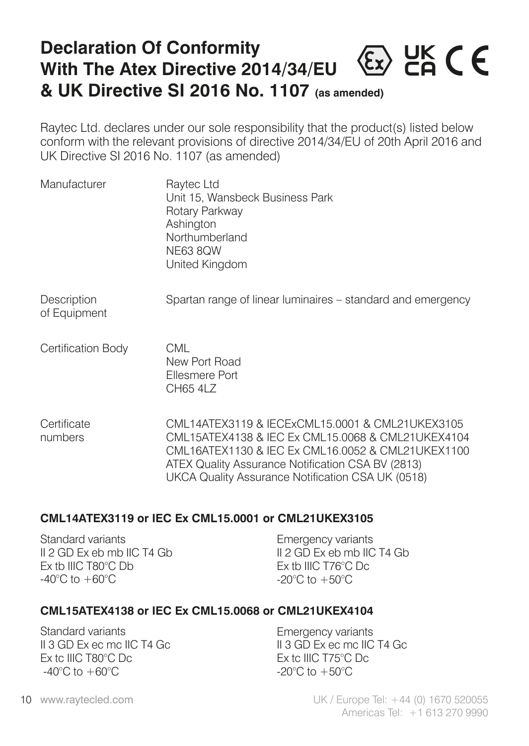## **Declaration Of Conformity**  $\langle \epsilon_{x} \rangle$  HK C E **With The Atex Directive 2014/34/EU & UK Directive SI 2016 No. 1107 (as amended)**

Raytec Ltd. declares under our sole responsibility that the product(s) listed below conform with the relevant provisions of directive 2014/34/EU of 20th April 2016 and UK Directive SI 2016 No. 1107 (as amended)

| Manufacturer                | Raytec Ltd<br>Unit 15, Wansbeck Business Park<br>Rotary Parkway<br>Ashington<br>Northumberland<br><b>NE63 8OW</b><br>United Kingdom                                                                            |
|-----------------------------|----------------------------------------------------------------------------------------------------------------------------------------------------------------------------------------------------------------|
| Description<br>of Equipment | Spartan range of linear luminaires - standard and emergency                                                                                                                                                    |
| Certification Body          | CML<br>New Port Road<br><b>Ellesmere Port</b><br>CH65 4LZ                                                                                                                                                      |
| Certificate<br>numbers      | CML14ATEX3119 & IECExCML15.0001 & CML21UKEX3105<br>CML15ATEX4138 & IEC Ex CML15.0068 & CML21UKEX4104<br>CML16ATEX1130 & IEC Ex CML16.0052 & CML21UKEX1100<br>ATEX Quality Assurance Notification CSA BV (2813) |

#### **CML14ATEX3119 or IEC Ex CML15.0001 or CML21UKEX3105**

Standard variants II 2 GD Ex eb mb IIC T4 Gb Ex tb IIIC T80°C Db  $-40^{\circ}$ C to  $+60^{\circ}$ C

Emergency variants II 2 GD Ex eb mb IIC T4 Gb Ex tb IIIC T76°C Dc  $-20^{\circ}$ C to  $+50^{\circ}$ C

UKCA Quality Assurance Notification CSA UK (0518)

#### **CML15ATEX4138 or IEC Ex CML15.0068 or CML21UKEX4104**

Standard variants II 3 GD Ex ec mc IIC T4 Gc Ex tc IIIC T80°C Dc  $-40^{\circ}$ C to  $+60^{\circ}$ C

Emergency variants II 3 GD Ex ec mc IIC T4 Gc Ex tc IIIC T75°C Dc -20°C to +50°C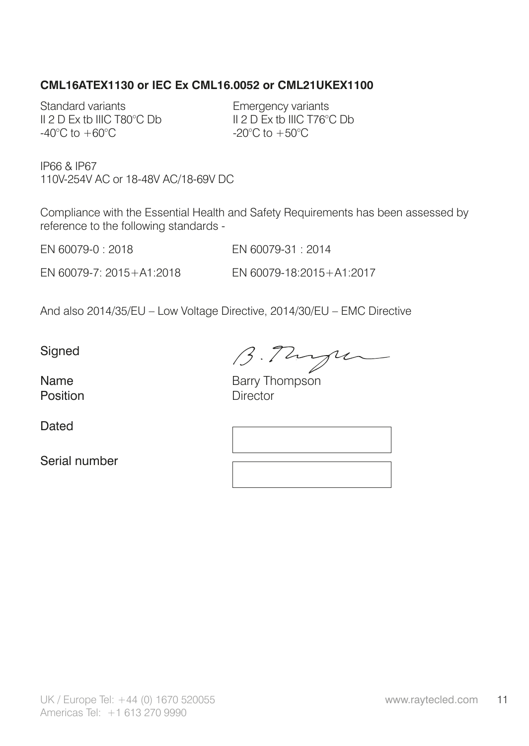#### **CML16ATEX1130 or IEC Ex CML16.0052 or CML21UKEX1100**

Standard variants II 2 D Ex tb IIIC T80°C Db -40 $^{\circ}$ C to  $+60^{\circ}$ C

Emergency variants II 2 D Ex tb IIIC T76°C Db -20°C to +50°C

IP66 & IP67 110V-254V AC or 18-48V AC/18-69V DC

Compliance with the Essential Health and Safety Requirements has been assessed by reference to the following standards -

EN 60079-0 : 2018 EN 60079-31 : 2014

EN 60079-7: 2015+A1:2018 EN 60079-18:2015+A1:2017

And also 2014/35/EU – Low Voltage Directive, 2014/30/EU – EMC Directive

**Signed** 

B. Though

Name Barry Thompson<br>
Position Director **Director** 

Dated

Serial number